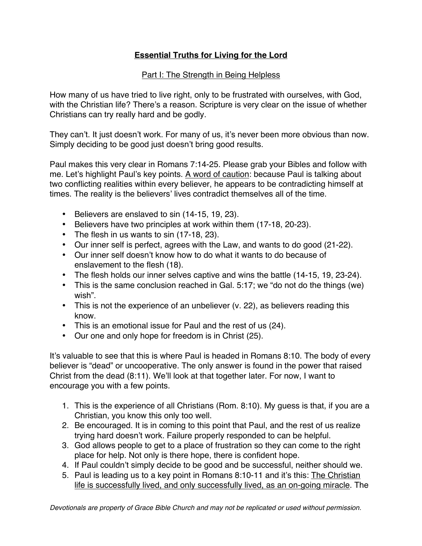## **Essential Truths for Living for the Lord**

## **Part I: The Strength in Being Helpless**

How many of us have tried to live right, only to be frustrated with ourselves, with God, with the Christian life? There's a reason. Scripture is very clear on the issue of whether Christians can try really hard and be godly.

They can't. It just doesn't work. For many of us, it's never been more obvious than now. Simply deciding to be good just doesn't bring good results.

Paul makes this very clear in Romans 7:14-25. Please grab your Bibles and follow with me. Let's highlight Paul's key points. A word of caution: because Paul is talking about two conflicting realities within every believer, he appears to be contradicting himself at times. The reality is the believers' lives contradict themselves all of the time.

- Believers are enslaved to sin (14-15, 19, 23).
- Believers have two principles at work within them (17-18, 20-23).
- The flesh in us wants to sin (17-18, 23).
- Our inner self is perfect, agrees with the Law, and wants to do good (21-22).
- Our inner self doesn't know how to do what it wants to do because of enslavement to the flesh (18).
- The flesh holds our inner selves captive and wins the battle (14-15, 19, 23-24).
- This is the same conclusion reached in Gal. 5:17; we "do not do the things (we) wish".
- This is not the experience of an unbeliever (v. 22), as believers reading this know.
- This is an emotional issue for Paul and the rest of us (24).
- Our one and only hope for freedom is in Christ (25).

It's valuable to see that this is where Paul is headed in Romans 8:10. The body of every believer is "dead" or uncooperative. The only answer is found in the power that raised Christ from the dead (8:11). We'll look at that together later. For now, I want to encourage you with a few points.

- 1. This is the experience of all Christians (Rom. 8:10). My guess is that, if you are a Christian, you know this only too well.
- 2. Be encouraged. It is in coming to this point that Paul, and the rest of us realize trying hard doesn't work. Failure properly responded to can be helpful.
- 3. God allows people to get to a place of frustration so they can come to the right place for help. Not only is there hope, there is confident hope.
- 4. If Paul couldn't simply decide to be good and be successful, neither should we.
- 5. Paul is leading us to a key point in Romans 8:10-11 and it's this: The Christian life is successfully lived, and only successfully lived, as an on-going miracle. The

*Devotionals are property of Grace Bible Church and may not be replicated or used without permission.*